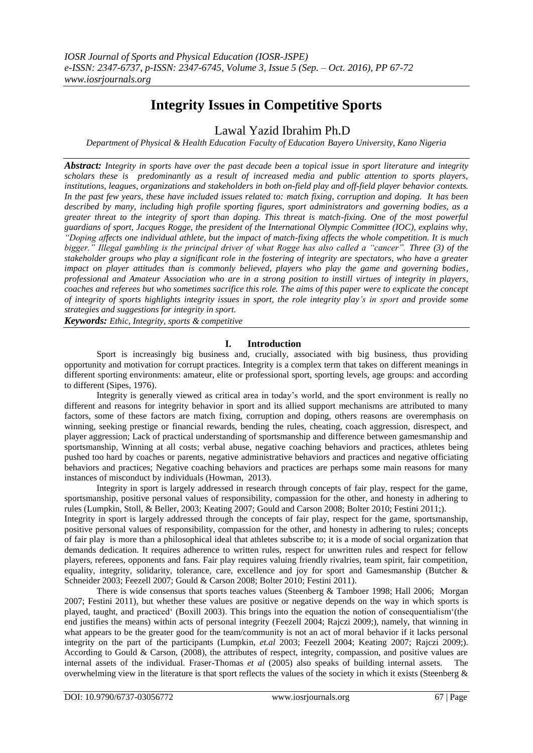# **Integrity Issues in Competitive Sports**

Lawal Yazid Ibrahim Ph.D

*Department of Physical & Health Education Faculty of Education Bayero University, Kano Nigeria*

*Abstract: Integrity in sports have over the past decade been a topical issue in sport literature and integrity scholars these is predominantly as a result of increased media and public attention to sports players, institutions, leagues, organizations and stakeholders in both on-field play and off-field player behavior contexts. In the past few years, these have included issues related to: match fixing, corruption and doping. It has been described by many, including high profile sporting figures, sport administrators and governing bodies, as a greater threat to the integrity of sport than doping. This threat is match-fixing. One of the most powerful guardians of sport, Jacques Rogge, the president of the International Olympic Committee (IOC), explains why, "Doping affects one individual athlete, but the impact of match-fixing affects the whole competition. It is much bigger." Illegal gambling is the principal driver of what Rogge has also called a "cancer". Three (3) of the stakeholder groups who play a significant role in the fostering of integrity are spectators, who have a greater impact on player attitudes than is commonly believed, players who play the game and governing bodies, professional and Amateur Association who are in a strong position to instill virtues of integrity in players, coaches and referees but who sometimes sacrifice this role. The aims of this paper were to explicate the concept of integrity of sports highlights integrity issues in sport, the role integrity play's in sport and provide some strategies and suggestions for integrity in sport.*

*Keywords: Ethic, Integrity, sports & competitive*

## **I. Introduction**

Sport is increasingly big business and, crucially, associated with big business, thus providing opportunity and motivation for corrupt practices. Integrity is a complex term that takes on different meanings in different sporting environments: amateur, elite or professional sport, sporting levels, age groups: and according to different (Sipes, 1976).

Integrity is generally viewed as critical area in today"s world, and the sport environment is really no different and reasons for integrity behavior in sport and its allied support mechanisms are attributed to many factors, some of these factors are match fixing, corruption and doping, others reasons are overemphasis on winning, seeking prestige or financial rewards, bending the rules, cheating, coach aggression, disrespect, and player aggression; Lack of practical understanding of sportsmanship and difference between gamesmanship and sportsmanship, Winning at all costs; verbal abuse, negative coaching behaviors and practices, athletes being pushed too hard by coaches or parents, negative administrative behaviors and practices and negative officiating behaviors and practices; Negative coaching behaviors and practices are perhaps some main reasons for many instances of misconduct by individuals (Howman, 2013).

Integrity in sport is largely addressed in research through concepts of fair play, respect for the game, sportsmanship, positive personal values of responsibility, compassion for the other, and honesty in adhering to rules (Lumpkin, Stoll, & Beller, 2003; Keating 2007; Gould and Carson 2008; Bolter 2010; Festini 2011;).

Integrity in sport is largely addressed through the concepts of fair play, respect for the game, sportsmanship, positive personal values of responsibility, compassion for the other, and honesty in adhering to rules; concepts of fair play is more than a philosophical ideal that athletes subscribe to; it is a mode of social organization that demands dedication. It requires adherence to written rules, respect for unwritten rules and respect for fellow players, referees, opponents and fans. Fair play requires valuing friendly rivalries, team spirit, fair competition, equality, integrity, solidarity, tolerance, care, excellence and joy for sport and Gamesmanship (Butcher & Schneider 2003; Feezell 2007; Gould & Carson 2008; Bolter 2010; Festini 2011).

There is wide consensus that sports teaches values (Steenberg & Tamboer 1998; Hall 2006; Morgan 2007; Festini 2011), but whether these values are positive or negative depends on the way in which sports is played, taught, and practiced" (Boxill 2003). This brings into the equation the notion of consequentialism"(the end justifies the means) within acts of personal integrity (Feezell 2004; Rajczi 2009;), namely, that winning in what appears to be the greater good for the team/community is not an act of moral behavior if it lacks personal integrity on the part of the participants (Lumpkin, *et.al* 2003; Feezell 2004; Keating 2007; Rajczi 2009;). According to Gould & Carson, (2008), the attributes of respect, integrity, compassion, and positive values are internal assets of the individual. Fraser-Thomas *et al* (2005) also speaks of building internal assets. overwhelming view in the literature is that sport reflects the values of the society in which it exists (Steenberg  $\&$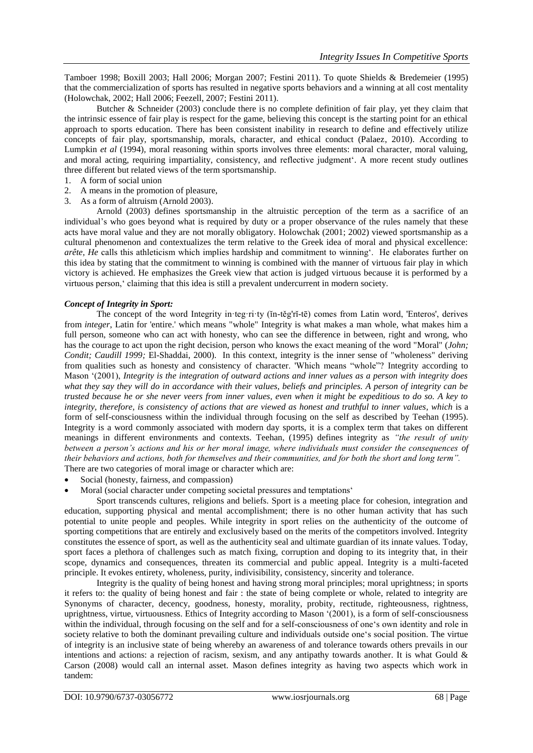Tamboer 1998; Boxill 2003; Hall 2006; Morgan 2007; Festini 2011). To quote Shields & Bredemeier (1995) that the commercialization of sports has resulted in negative sports behaviors and a winning at all cost mentality (Holowchak, 2002; Hall 2006; Feezell, 2007; Festini 2011).

Butcher & Schneider (2003) conclude there is no complete definition of fair play, yet they claim that the intrinsic essence of fair play is respect for the game, believing this concept is the starting point for an ethical approach to sports education. There has been consistent inability in research to define and effectively utilize concepts of fair play, sportsmanship, morals, character, and ethical conduct (Palaez, 2010). According to Lumpkin *et al* (1994), moral reasoning within sports involves three elements: moral character, moral valuing, and moral acting, requiring impartiality, consistency, and reflective judgment". A more recent study outlines three different but related views of the term sportsmanship.

- 1. A form of social union
- 2. A means in the promotion of pleasure,
- 3. As a form of altruism (Arnold 2003).

Arnold (2003) defines sportsmanship in the altruistic perception of the term as a sacrifice of an individual"s who goes beyond what is required by duty or a proper observance of the rules namely that these acts have moral value and they are not morally obligatory. Holowchak (2001; 2002) viewed sportsmanship as a cultural phenomenon and contextualizes the term relative to the Greek idea of moral and physical excellence: *arête, He* calls this athleticism which implies hardship and commitment to winning". He elaborates further on this idea by stating that the commitment to winning is combined with the manner of virtuous fair play in which victory is achieved. He emphasizes the Greek view that action is judged virtuous because it is performed by a virtuous person," claiming that this idea is still a prevalent undercurrent in modern society.

## *Concept of Integrity in Sport:*

The concept of the word Integrity in·teg·ri·ty (ĭn-těg'rĭ-tē) comes from Latin word, 'Enteros', derives from *integer*, Latin for 'entire.' which means "whole" Integrity is what makes a man whole, what makes him a full person, someone who can act with honesty, who can see the difference in between, right and wrong, who has the courage to act upon the right decision, person who knows the exact meaning of the word "Moral" (*John; Condit; Caudill 1999;* El-Shaddai, 2000)*.* In this context, integrity is the inner sense of "wholeness" deriving from qualities such as [honesty](https://en.wikipedia.org/wiki/Honesty) and consistency of [character.](https://en.wikipedia.org/wiki/Moral_character) 'Which means "whole"? Integrity according to Mason "(2001), *Integrity is the integration of outward actions and inner values as a person with integrity does what they say they will do in accordance with their values, beliefs and principles. A person of integrity can be trusted because he or she never veers from inner values, even when it might be expeditious to do so. A key to integrity, therefore, is consistency of actions that are viewed as honest and truthful to inner values, which* is a form of self-consciousness within the individual through focusing on the self as described by Teehan (1995). Integrity is a word commonly associated with modern day sports, it is a complex term that takes on different meanings in different environments and contexts. Teehan, (1995) defines integrity as *"the result of unity between a person's actions and his or her moral image, where individuals must consider the consequences of their behaviors and actions, both for themselves and their communities, and for both the short and long term".* There are two categories of moral image or character which are:

- Social (honesty, fairness, and compassion)
- Moral (social character under competing societal pressures and temptations'

Sport transcends cultures, religions and beliefs. Sport is a meeting place for cohesion, integration and education, supporting physical and mental accomplishment; there is no other human activity that has such potential to unite people and peoples. While integrity in sport relies on the authenticity of the outcome of sporting competitions that are entirely and exclusively based on the merits of the competitors involved. Integrity constitutes the essence of sport, as well as the authenticity seal and ultimate guardian of its innate values. Today, sport faces a plethora of challenges such as match fixing, corruption and doping to its integrity that, in their scope, dynamics and consequences, threaten its commercial and public appeal. Integrity is a multi-faceted principle. It evokes entirety, wholeness, purity, indivisibility, consistency, sincerity and tolerance.

Integrity is the quality of being honest and having strong moral principles; moral uprightness; in sports it refers to: the quality of being honest and fair : the state of being complete or whole, related to integrity are Synonyms of [character,](http://www.merriam-webster.com/dictionary/character) [decency,](http://www.merriam-webster.com/dictionary/decency) [goodness,](http://www.merriam-webster.com/dictionary/goodness) [honesty,](http://www.merriam-webster.com/dictionary/honesty) [morality,](http://www.merriam-webster.com/dictionary/morality) [probity,](http://www.merriam-webster.com/dictionary/probity) [rectitude,](http://www.merriam-webster.com/dictionary/rectitude) [righteousness,](http://www.merriam-webster.com/dictionary/righteousness) [rightness,](http://www.merriam-webster.com/dictionary/rightness) [uprightness,](http://www.merriam-webster.com/dictionary/uprightness) [virtue,](http://www.merriam-webster.com/dictionary/virtue) [virtuousness.](http://www.merriam-webster.com/dictionary/virtuousness) Ethics of Integrity according to Mason "(2001), is a form of self-consciousness within the individual, through focusing on the self and for a self-consciousness of one"s own identity and role in society relative to both the dominant prevailing culture and individuals outside one's social position. The virtue of integrity is an inclusive state of being whereby an awareness of and tolerance towards others prevails in our intentions and actions: a rejection of racism, sexism, and any antipathy towards another. It is what Gould & Carson (2008) would call an internal asset. Mason defines integrity as having two aspects which work in tandem: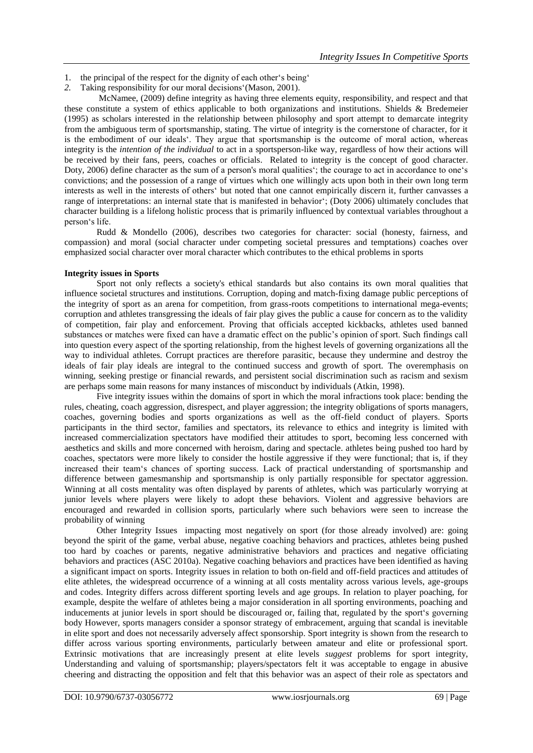- 1. the principal of the respect for the dignity of each other's being'
- *2.* Taking responsibility for our moral decisions"(Mason, 2001).

McNamee, (2009) define integrity as having three elements equity, responsibility, and respect and that these constitute a system of ethics applicable to both organizations and institutions. Shields & Bredemeier (1995) as scholars interested in the relationship between philosophy and sport attempt to demarcate integrity from the ambiguous term of sportsmanship, stating. The virtue of integrity is the cornerstone of character, for it is the embodiment of our ideals". They argue that sportsmanship is the outcome of moral action, whereas integrity is the *intention of the individual* to act in a sportsperson-like way, regardless of how their actions will be received by their fans, peers, coaches or officials. Related to integrity is the concept of good character. Doty, 2006) define character as the sum of a person's moral qualities"; the courage to act in accordance to one"s convictions; and the possession of a range of virtues which one willingly acts upon both in their own long term interests as well in the interests of others" but noted that one cannot empirically discern it, further canvasses a range of interpretations: an internal state that is manifested in behavior"; (Doty 2006) ultimately concludes that character building is a lifelong holistic process that is primarily influenced by contextual variables throughout a person"s life.

Rudd & Mondello (2006), describes two categories for character: social (honesty, fairness, and compassion) and moral (social character under competing societal pressures and temptations) coaches over emphasized social character over moral character which contributes to the ethical problems in sports

## **Integrity issues in Sports**

Sport not only reflects a society's ethical standards but also contains its own moral qualities that influence societal structures and institutions. Corruption, doping and match-fixing damage public perceptions of the integrity of sport as an arena for competition, from grass-roots competitions to international mega-events; corruption and athletes transgressing the ideals of fair play gives the public a cause for concern as to the validity of competition, fair play and enforcement. Proving that officials accepted kickbacks, athletes used banned substances or matches were fixed can have a dramatic effect on the public"s opinion of sport. Such findings call into question every aspect of the sporting relationship, from the highest levels of governing organizations all the way to individual athletes. Corrupt practices are therefore parasitic, because they undermine and destroy the ideals of fair play ideals are integral to the continued success and growth of sport. The overemphasis on winning, seeking prestige or financial rewards, and persistent social discrimination such as racism and sexism are perhaps some main reasons for many instances of misconduct by individuals (Atkin, 1998).

Five integrity issues within the domains of sport in which the moral infractions took place: bending the rules, cheating, coach aggression, disrespect, and player aggression; the integrity obligations of sports managers, coaches, governing bodies and sports organizations as well as the off-field conduct of players. Sports participants in the third sector, families and spectators, its relevance to ethics and integrity is limited with increased commercialization spectators have modified their attitudes to sport, becoming less concerned with aesthetics and skills and more concerned with heroism, daring and spectacle. athletes being pushed too hard by coaches, spectators were more likely to consider the hostile aggressive if they were functional; that is, if they increased their team"s chances of sporting success. Lack of practical understanding of sportsmanship and difference between gamesmanship and sportsmanship is only partially responsible for spectator aggression. Winning at all costs mentality was often displayed by parents of athletes, which was particularly worrying at junior levels where players were likely to adopt these behaviors. Violent and aggressive behaviors are encouraged and rewarded in collision sports, particularly where such behaviors were seen to increase the probability of winning

Other Integrity Issues impacting most negatively on sport (for those already involved) are: going beyond the spirit of the game, verbal abuse, negative coaching behaviors and practices, athletes being pushed too hard by coaches or parents, negative administrative behaviors and practices and negative officiating behaviors and practices (ASC 2010a). Negative coaching behaviors and practices have been identified as having a significant impact on sports. Integrity issues in relation to both on-field and off-field practices and attitudes of elite athletes, the widespread occurrence of a winning at all costs mentality across various levels, age-groups and codes. Integrity differs across different sporting levels and age groups. In relation to player poaching, for example, despite the welfare of athletes being a major consideration in all sporting environments, poaching and inducements at junior levels in sport should be discouraged or, failing that, regulated by the sport"s governing body However, sports managers consider a sponsor strategy of embracement, arguing that scandal is inevitable in elite sport and does not necessarily adversely affect sponsorship. Sport integrity is shown from the research to differ across various sporting environments, particularly between amateur and elite or professional sport. Extrinsic motivations that are increasingly present at elite levels *suggest* problems for sport integrity, Understanding and valuing of sportsmanship; players/spectators felt it was acceptable to engage in abusive cheering and distracting the opposition and felt that this behavior was an aspect of their role as spectators and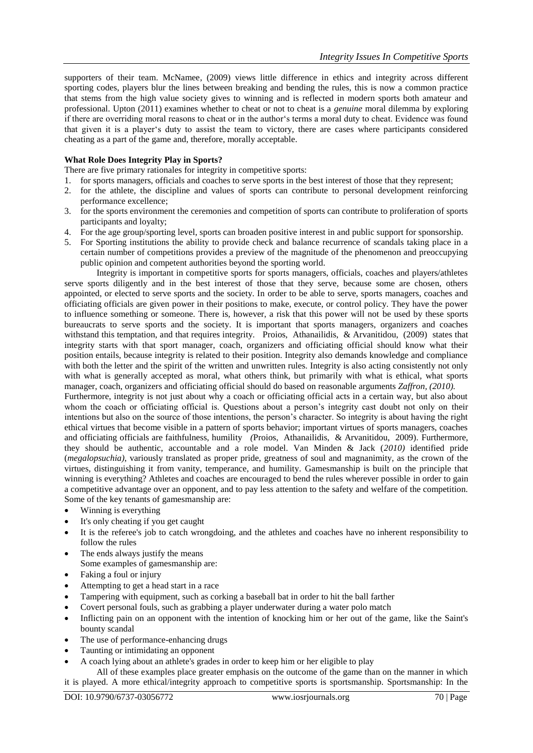supporters of their team. McNamee, (2009) views little difference in ethics and integrity across different sporting codes, players blur the lines between breaking and bending the rules, this is now a common practice that stems from the high value society gives to winning and is reflected in modern sports both amateur and professional. Upton (2011) examines whether to cheat or not to cheat is a *genuine* moral dilemma by exploring if there are overriding moral reasons to cheat or in the author's terms a moral duty to cheat. Evidence was found that given it is a player"s duty to assist the team to victory, there are cases where participants considered cheating as a part of the game and, therefore, morally acceptable.

## **What Role Does Integrity Play in Sports?**

There are five primary rationales for integrity in competitive sports:

- 1. for sports managers, officials and coaches to serve sports in the best interest of those that they represent;
- 2. for the athlete, the discipline and values of sports can contribute to personal development reinforcing performance excellence;
- 3. for the sports environment the ceremonies and competition of sports can contribute to proliferation of sports participants and loyalty;
- 4. For the age group/sporting level, sports can broaden positive interest in and public support for sponsorship.
- 5. For Sporting institutions the ability to provide check and balance recurrence of scandals taking place in a certain number of competitions provides a preview of the magnitude of the phenomenon and preoccupying public opinion and competent authorities beyond the sporting world.

Integrity is important in competitive sports for sports managers, officials, coaches and players/athletes serve sports diligently and in the best interest of those that they serve, because some are chosen, others appointed, or elected to serve sports and the society. In order to be able to serve, sports managers, coaches and officiating officials are given power in their positions to make, execute, or control policy. They have the power to influence something or someone. There is, however, a risk that this power will not be used by these sports bureaucrats to serve sports and the society. It is important that sports managers, organizers and coaches withstand this temptation, and that requires integrity. Proios, Athanailidis, & Arvanitidou, (2009) states that integrity starts with that sport manager, coach, organizers and officiating official should know what their position entails, because integrity is related to their position. Integrity also demands knowledge and compliance with both the letter and the spirit of the written and unwritten rules. Integrity is also acting consistently not only with what is generally accepted as moral, what others think, but primarily with what is ethical, what sports manager, coach, organizers and officiating official should do based on reasonable arguments *Zaffron, (2010).*

Furthermore, integrity is not just about why a coach or officiating official acts in a certain way, but also about whom the coach or officiating official is. Questions about a person's integrity cast doubt not only on their intentions but also on the source of those intentions, the person"s character. So integrity is about having the right ethical virtues that become visible in a pattern of sports behavior; important virtues of sports managers, coaches and officiating officials are faithfulness, humility *(*Proios, Athanailidis, & Arvanitidou, 2009). Furthermore, they should be authentic, accountable and a role model. Van Minden & Jack (*2010)* identified pride (*megalopsuchia)*, variously translated as proper pride, greatness of soul and magnanimity, as the crown of the virtues, distinguishing it from vanity, temperance, and humility. Gamesmanship is built on the principle that winning is everything? Athletes and coaches are encouraged to bend the rules wherever possible in order to gain a competitive advantage over an opponent, and to pay less attention to the safety and welfare of the competition. Some of the key tenants of gamesmanship are:

- Winning is everything
- It's only cheating if you get caught
- It is the referee's job to catch wrongdoing, and the athletes and coaches have no inherent responsibility to follow the rules
- The ends always justify the means Some examples of gamesmanship are:
- Faking a foul or injury
- Attempting to get a head start in a race
- Tampering with equipment, such as corking a baseball bat in order to hit the ball farther
- Covert personal fouls, such as grabbing a player underwater during a water polo match
- Inflicting pain on an opponent with the intention of knocking him or her out of the game, like the Saint's bounty scandal
- The use of performance-enhancing drugs
- Taunting or intimidating an opponent
- A coach lying about an athlete's grades in order to keep him or her eligible to play

All of these examples place greater emphasis on the outcome of the game than on the manner in which it is played. A more ethical/integrity approach to competitive sports is sportsmanship. Sportsmanship: In the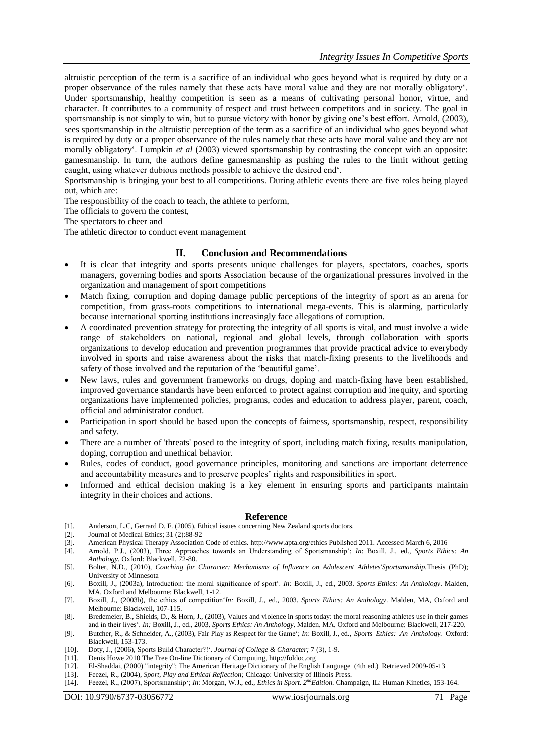altruistic perception of the term is a sacrifice of an individual who goes beyond what is required by duty or a proper observance of the rules namely that these acts have moral value and they are not morally obligatory". Under sportsmanship, healthy competition is seen as a means of cultivating personal honor, virtue, and character. It contributes to a community of respect and trust between competitors and in society. The goal in sportsmanship is not simply to win, but to pursue victory with honor by giving one's best effort. Arnold, (2003), sees sportsmanship in the altruistic perception of the term as a sacrifice of an individual who goes beyond what is required by duty or a proper observance of the rules namely that these acts have moral value and they are not morally obligatory'. Lumpkin *et al* (2003) viewed sportsmanship by contrasting the concept with an opposite: gamesmanship. In turn, the authors define gamesmanship as pushing the rules to the limit without getting caught, using whatever dubious methods possible to achieve the desired end".

Sportsmanship is bringing your best to all competitions. During athletic events there are five roles being played out, which are:

The responsibility of the coach to teach, the athlete to perform,

The officials to govern the contest,

The spectators to cheer and

The athletic director to conduct event management

#### **II. Conclusion and Recommendations**

- It is clear that integrity and sports presents unique challenges for players, spectators, coaches, sports managers, governing bodies and sports Association because of the organizational pressures involved in the organization and management of sport competitions
- Match fixing, corruption and doping damage public perceptions of the integrity of sport as an arena for competition, from grass-roots competitions to international mega-events. This is alarming, particularly because international sporting institutions increasingly face allegations of corruption.
- A coordinated prevention strategy for protecting the integrity of all sports is vital, and must involve a wide range of stakeholders on national, regional and global levels, through collaboration with sports organizations to develop education and prevention programmes that provide practical advice to everybody involved in sports and raise awareness about the risks that match-fixing presents to the livelihoods and safety of those involved and the reputation of the "beautiful game".
- New laws, rules and government frameworks on drugs, doping and match-fixing have been established, improved governance standards have been enforced to protect against corruption and inequity, and sporting organizations have implemented policies, programs, codes and education to address player, parent, coach, official and administrator conduct.
- Participation in sport should be based upon the concepts of fairness, sportsmanship, respect, responsibility and safety.
- There are a number of 'threats' posed to the integrity of sport, including match fixing, results manipulation, doping, corruption and unethical behavior.
- Rules, codes of conduct, good governance principles, monitoring and sanctions are important deterrence and accountability measures and to preserve peoples" rights and responsibilities in sport.
- Informed and ethical decision making is a key element in ensuring sports and participants maintain integrity in their choices and actions.

#### **Reference**

- [1]. Anderson, L.C, Gerrard D. F. (2005), Ethical issues concerning New Zealand sports doctors.
- [2]. Journal of Medical Ethics; 31 (2):88-92
- [3]. American Physical Therapy Association Code of ethics[. http://www.apta.org/ethics](http://www.apta.org/ethics) Published 2011. Accessed March 6, 2016
- [4]. Arnold, P.J., (2003), Three Approaches towards an Understanding of Sportsmanship"; *In*: Boxill, J., ed., *Sports Ethics: An Anthology.* Oxford: Blackwell, 72-80.
- [5]. Bolter, N.D., (2010), *Coaching for Character: Mechanisms of Influence on Adolescent Athletes'Sportsmanship.*Thesis (PhD); University of Minnesota
- [6]. Boxill, J., (2003a), Introduction: the moral significance of sport". *In:* Boxill, J., ed., 2003. *Sports Ethics: An Anthology*. Malden, MA, Oxford and Melbourne: Blackwell, 1-12.
- [7]. Boxill, J., (2003b), the ethics of competition"*In:* Boxill, J., ed., 2003. *Sports Ethics: An Anthology*. Malden, MA, Oxford and Melbourne: Blackwell, 107-115.
- [8]. Bredemeier, B., Shields, D., & Horn, J., (2003), Values and violence in sports today: the moral reasoning athletes use in their games and in their lives". *In:* Boxill, J., ed., 2003. *Sports Ethics: An Anthology*. Malden, MA, Oxford and Melbourne: Blackwell, 217-220.
- [9]. Butcher, R., & Schneider, A., (2003), Fair Play as Respect for the Game"; *In*: Boxill, J., ed., *Sports Ethics: An Anthology.* Oxford: Blackwell, 153-173.
- [10]. Doty, J., (2006), Sports Build Character?!". *Journal of College & Character;* 7 (3), 1-9.
- [11]. Denis Howe 2010 The Free On-line Dictionary of Computing[, http://foldoc.org](http://foldoc.org/)
- [12]. El-Shaddai, (2000) ["integrity";](http://www.bartleby.com/61/70/I0177000.html) The American Heritage Dictionary of the English Language (4th ed.) Retrieved 2009-05-13
- [13]. Feezel, R., (2004), *Sport, Play and Ethical Reflection;* Chicago: University of Illinois Press. [14]. Feezel, R., (2007), Sportsmanship'; *In*: Morgan, W.J., ed., *Ethics in Sport.* 2<sup>nd</sup> Edition. Cham